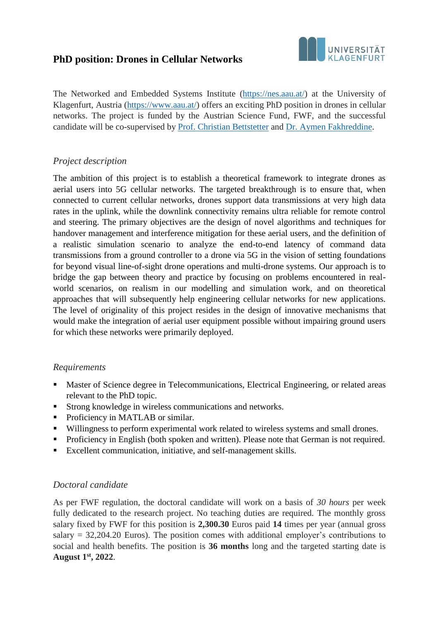# **PhD position: Drones in Cellular Networks**



The Networked and Embedded Systems Institute [\(https://nes.aau.at/\)](https://nes.aau.at/) at the University of Klagenfurt, Austria [\(https://www.aau.at/\)](https://www.aau.at/) offers an exciting PhD position in drones in cellular networks. The project is funded by the Austrian Science Fund, FWF, and the successful candidate will be co-supervised by [Prof. Christian Bettstetter](https://bettstetter.com/) and [Dr. Aymen Fakhreddine.](https://sites.google.com/view/aymen-fakhreddine/)

### *Project description*

The ambition of this project is to establish a theoretical framework to integrate drones as aerial users into 5G cellular networks. The targeted breakthrough is to ensure that, when connected to current cellular networks, drones support data transmissions at very high data rates in the uplink, while the downlink connectivity remains ultra reliable for remote control and steering. The primary objectives are the design of novel algorithms and techniques for handover management and interference mitigation for these aerial users, and the definition of a realistic simulation scenario to analyze the end-to-end latency of command data transmissions from a ground controller to a drone via 5G in the vision of setting foundations for beyond visual line-of-sight drone operations and multi-drone systems. Our approach is to bridge the gap between theory and practice by focusing on problems encountered in realworld scenarios, on realism in our modelling and simulation work, and on theoretical approaches that will subsequently help engineering cellular networks for new applications. The level of originality of this project resides in the design of innovative mechanisms that would make the integration of aerial user equipment possible without impairing ground users for which these networks were primarily deployed.

#### *Requirements*

- Master of Science degree in Telecommunications, Electrical Engineering, or related areas relevant to the PhD topic.
- Strong knowledge in wireless communications and networks.
- Proficiency in MATLAB or similar.
- Willingness to perform experimental work related to wireless systems and small drones.
- **•** Proficiency in English (both spoken and written). Please note that German is not required.
- Excellent communication, initiative, and self-management skills.

#### *Doctoral candidate*

As per FWF regulation, the doctoral candidate will work on a basis of *30 hours* per week fully dedicated to the research project. No teaching duties are required. The monthly gross salary fixed by FWF for this position is **2,300.30** Euros paid **14** times per year (annual gross salary = 32,204.20 Euros). The position comes with additional employer's contributions to social and health benefits. The position is **36 months** long and the targeted starting date is **August 1st, 2022**.